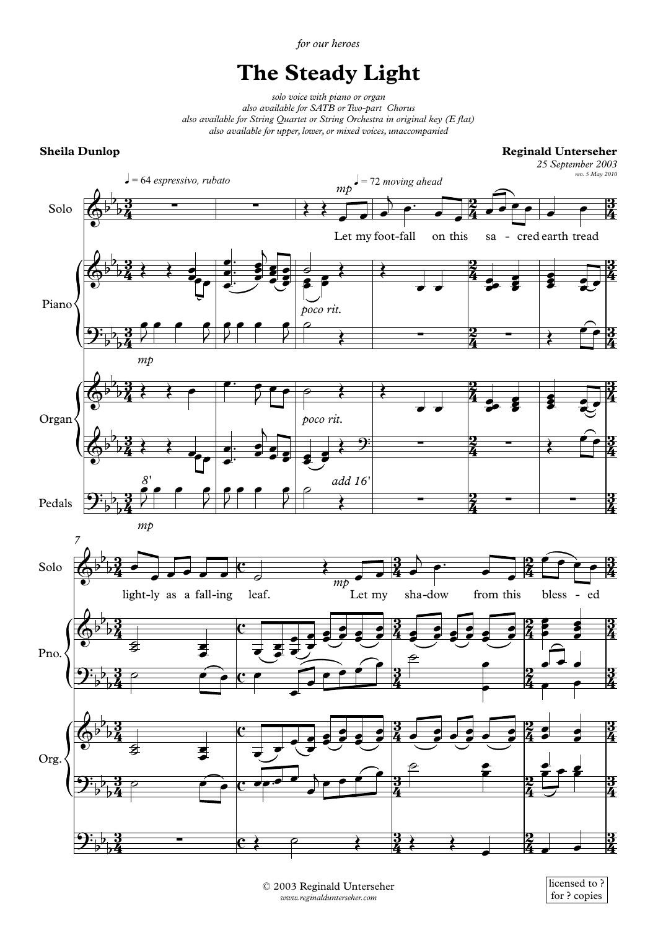*for our heroes*

## **The Steady Light**

*solo voice with piano or organ also available for SATB orTwo-part Chorus also available for String Quartet or String Orchestra in original key (E flat) also available for upper, lower, or mixed voices, unaccompanied*

## **Sheila Dunlop**

**Reginald Unterseher**

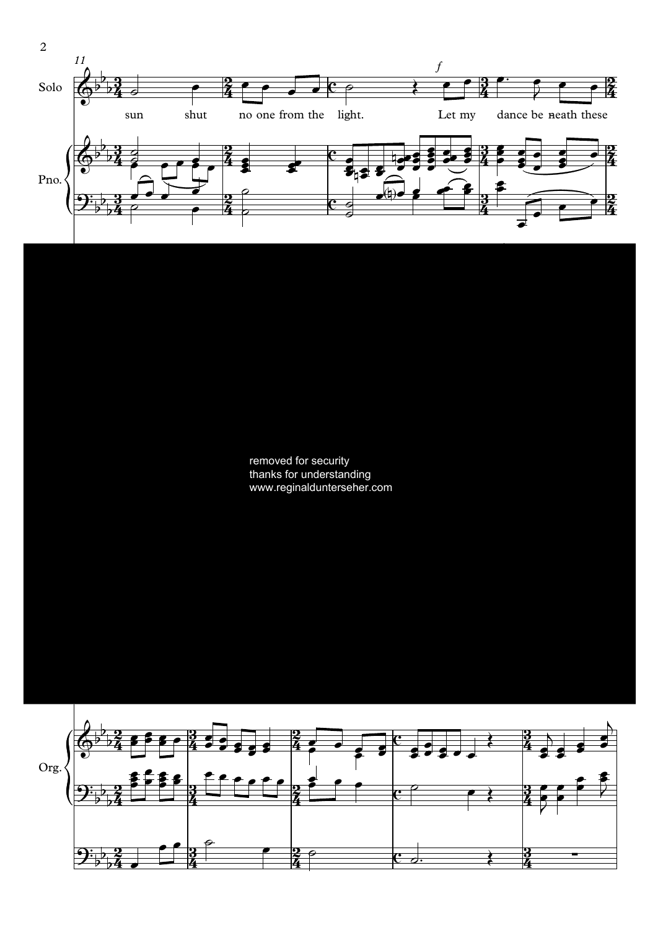

removed for security thanks for understanding www.reginaldunterseher.com

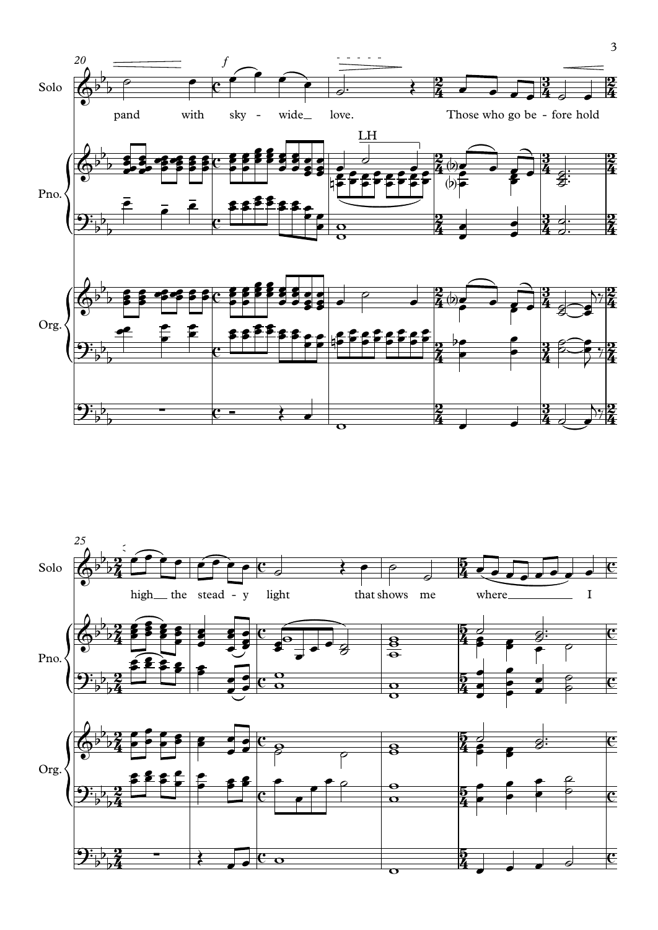